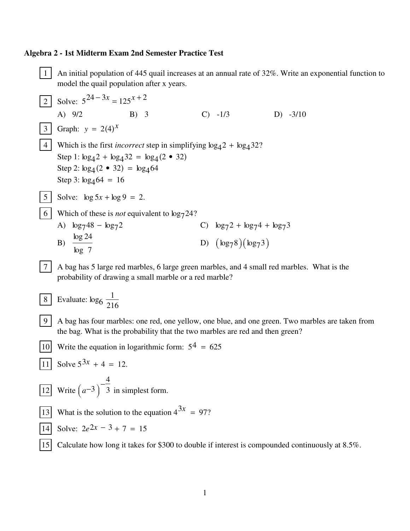## Algebra 2 - 1st Midterm Exam 2nd Semester Practice Test

 $1\vert$ An initial population of 445 quail increases at an annual rate of 32%. Write an exponential function to model the quail population after x years. Solve:  $5^{24-3x} = 125^{x+2}$  $2\vert$ A)  $9/2$  $B) 3$  $C) -1/3$  $D) -3/10$ 3 Graph:  $y = 2(4)^{x}$ 4 Which is the first *incorrect* step in simplifying  $\log_4 2 + \log_4 32$ ? Step 1:  $\log_4 2 + \log_4 32 = \log_4 (2 \cdot 32)$ Step 2:  $log_4(2 \cdot 32) = log_4 64$ Step 3:  $\log_4 64 = 16$ 5 | Solve:  $\log 5x + \log 9 = 2$ . 6 Which of these is *not* equivalent to  $\log_7 24$ ? A)  $\log_7 48 - \log_7 2$ C)  $\log_7 2 + \log_7 4 + \log_7 3$ B)  $\frac{\log 24}{\log 7}$ D)  $(\log_7 8)(\log_7 3)$  $|7|$ A bag has 5 large red marbles, 6 large green marbles, and 4 small red marbles. What is the probability of drawing a small marble or a red marble? Evaluate:  $\log_6 \frac{1}{216}$ 8 9 A bag has four marbles: one red, one yellow, one blue, and one green. Two marbles are taken from the bag. What is the probability that the two marbles are red and then green? Write the equation in logarithmic form:  $5^4 = 625$ | 10 |  $\boxed{11}$  Solve  $5^{3x} + 4 = 12$ . [12] Write  $(a^{-3})^{-\frac{4}{3}}$  in simplest form. [13] What is the solution to the equation  $4^{3x} = 97$ ?

- $\boxed{14}$  Solve:  $2e^{2x} 3 + 7 = 15$
- [15] Calculate how long it takes for \$300 to double if interest is compounded continuously at 8.5%.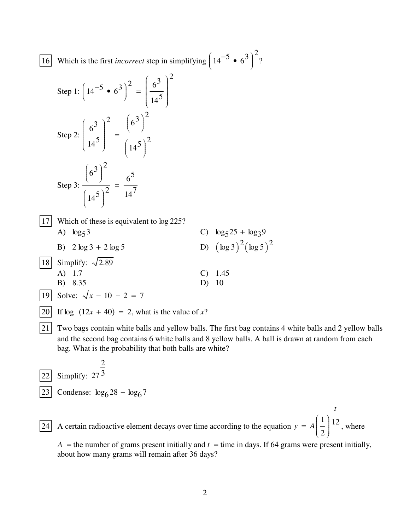16 Which is the first *incorrect* step in simplifying  $\left(14^{-5} \cdot 6^{3}\right)$  $\overline{\mathcal{L}}$  $\int$ ˆ  $\overline{y}$  $\begin{bmatrix} \frac{1}{2} & \frac{1}{2} \\ \frac{1}{2} & \frac{1}{2} \\ \frac{1}{2} & \frac{1}{2} \end{bmatrix}$ 2 ?

Step 1: 
$$
\left(14^{-5} \cdot 6^{3}\right)^{2} = \left(\frac{6^{3}}{14^{5}}\right)^{2}
$$
  
\nStep 2:  $\left(\frac{6^{3}}{14^{5}}\right)^{2} = \frac{\left(6^{3}\right)^{2}}{\left(14^{5}\right)^{2}}$   
\nStep 3:  $\frac{\left(6^{3}\right)^{2}}{\left(14^{5}\right)^{2}} = \frac{6^{5}}{14^{7}}$   
\n  
\n $\boxed{17}$  Which of these is equivalent to log 225?  
\nA) log53  
\nB) 2 log3 + 2 log5  
\n $\boxed{17}$   
\n $\boxed{17}$  Simplify:  $\sqrt{2.89}$   
\n $\boxed{17}$   
\n $\boxed{17}$   
\n $\boxed{17}$   
\n $\boxed{17}$   
\n $\boxed{17}$   
\n $\boxed{17}$   
\n $\boxed{17}$   
\n $\boxed{17}$   
\n $\boxed{17}$   
\n $\boxed{17}$   
\n $\boxed{17}$   
\n $\boxed{17}$   
\n $\boxed{17}$   
\n $\boxed{17}$   
\n $\boxed{17}$   
\n $\boxed{17}$   
\n $\boxed{17}$   
\n $\boxed{17}$   
\n $\boxed{17}$   
\n $\boxed{17}$   
\n $\boxed{17}$   
\n $\boxed{17}$   
\n $\boxed{17}$   
\n $\boxed{17}$   
\n $\boxed{17}$   
\n $\boxed{17}$   
\n $\boxed{17}$   
\n $\boxed{17}$   
\n $\boxed{17}$   
\n $\boxed{17}$   
\n $\boxed{17}$   
\n $\boxed{17}$   
\n $\boxed{17}$   
\n $\boxed{17}$   
\n $\boxed{17}$   
\n $\boxed{17}$   
\n $\boxed{17}$   
\n $\boxed{17}$   
\n $\boxed{17}$   
\n

 $\overline{22}$  Simplify: 27<sup>3</sup> 2 23 Condense:  $\log_6 28 - \log_6 7$ 

24 A certain radioactive element decays over time according to the equation  $y = A \left( \frac{1}{x} \right)$ 2 Ê  $\overline{\mathcal{L}}$  $\int$ ˆ  $\overline{y}$  $\begin{array}{c} \hline \end{array}$ *t* <sup>12</sup> , where

 $A =$  the number of grams present initially and  $t =$  time in days. If 64 grams were present initially, about how many grams will remain after 36 days?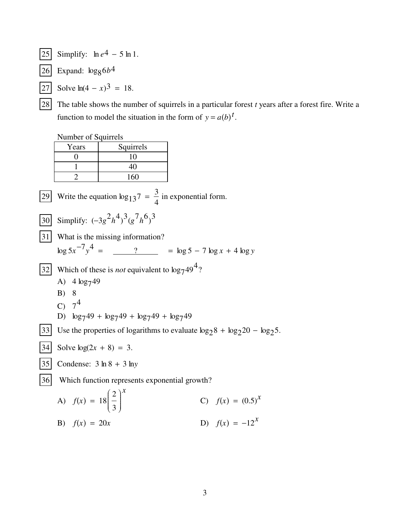- Simplify:  $\ln e^4 5 \ln 1$ .  $|25|$
- $\begin{vmatrix} 26 \\ 5 \end{vmatrix}$  Expand:  $\log_8 6b^4$
- [27] Solve  $ln(4 x)^3 = 18$ .
- $|28|$ The table shows the number of squirrels in a particular forest  $t$  years after a forest fire. Write a function to model the situation in the form of  $y = a(b)^t$ .

Number of Squirrels

|    | Years                                                                          | Squirrels             |                                    |
|----|--------------------------------------------------------------------------------|-----------------------|------------------------------------|
|    | 0                                                                              | 10                    |                                    |
|    |                                                                                | 40                    |                                    |
|    | 2                                                                              | 160                   |                                    |
| 29 | Write the equation $\log_{13} 7 = \frac{3}{4}$ in exponential form.            |                       |                                    |
| 30 | Simplify: $(-3g^2h^4)^3(g^7h^6)^3$                                             |                       |                                    |
| 31 | What is the missing information?                                               |                       |                                    |
|    |                                                                                | $\log 5x^{-7}v^4 = ?$ | $=$ $\log 5 - 7 \log x + 4 \log y$ |
| 32 | Which of these is <i>not</i> equivalent to $\log_7 49^4$ ?<br>A) $4 \log_7 49$ |                       |                                    |
|    |                                                                                |                       |                                    |
|    | B) 8                                                                           |                       |                                    |
|    | C) $7^4$                                                                       |                       |                                    |

- D)  $\log_7 49 + \log_7 49 + \log_7 49 + \log_7 49$
- [33] Use the properties of logarithms to evaluate  $\log_2 8 + \log_2 20 \log_2 5$ .
- Solve  $log(2x + 8) = 3$ .  $|34|$
- Condense:  $3 \ln 8 + 3 \ln y$ 35

 $|36|$ Which function represents exponential growth?

A) 
$$
f(x) = 18\left(\frac{2}{3}\right)^x
$$
 C)  $f(x) = (0.5)^x$ 

D)  $f(x) = -12^x$ B)  $f(x) = 20x$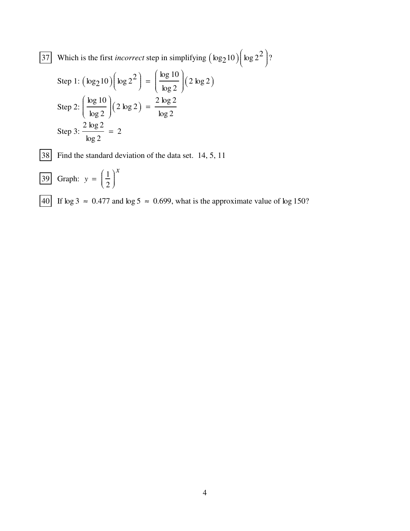37 Which is the first *incorrect* step in simplifying  $(\log_2 10)$  $\int \log 2^2$  $\overline{\mathcal{L}}$  $\int$ ˆ  $\overline{y}$  $\begin{bmatrix} \frac{1}{2} & \frac{1}{2} \\ \frac{1}{2} & \frac{1}{2} \\ \frac{1}{2} & \frac{1}{2} \end{bmatrix}$ ?

Step 1: 
$$
(\log_2 10) (\log 2^2) = \left(\frac{\log 10}{\log 2}\right) (2 \log 2)
$$
  
\nStep 2:  $\left(\frac{\log 10}{\log 2}\right) (2 \log 2) = \frac{2 \log 2}{\log 2}$   
\nStep 3:  $\frac{2 \log 2}{\log 2} = 2$ 

|38| Find the standard deviation of the data set. 14, 5, 11

 $\overline{39}$  Graph:  $y = \frac{1}{2}$ 2 Ê  $\overline{\mathcal{L}}$  $\int$ ˆ  $\overline{y}$  $\begin{bmatrix} \frac{1}{2} & \frac{1}{2} \\ \frac{1}{2} & \frac{1}{2} \end{bmatrix}$ *x*

40 If log 3 ≈ 0.477 and log 5 ≈ 0.699, what is the approximate value of log 150?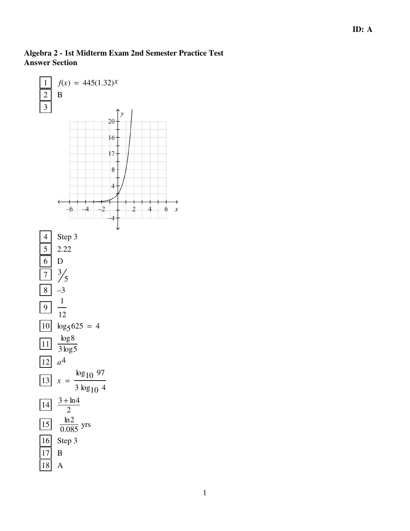## **Algebra 2 - 1st Midterm Exam 2nd Semester Practice Test Answer Section**